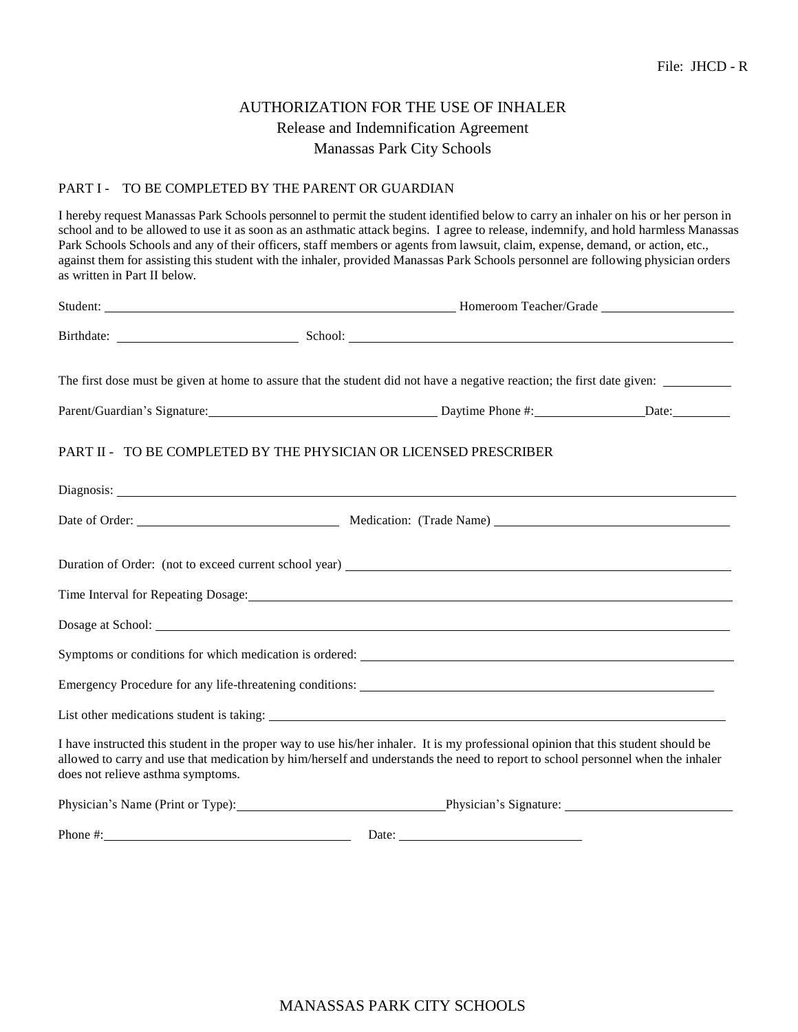## AUTHORIZATION FOR THE USE OF INHALER Release and Indemnification Agreement Manassas Park City Schools

## PART I - TO BE COMPLETED BY THE PARENT OR GUARDIAN

I hereby request Manassas Park Schools personnel to permit the student identified below to carry an inhaler on his or her person in school and to be allowed to use it as soon as an asthmatic attack begins. I agree to release, indemnify, and hold harmless Manassas Park Schools Schools and any of their officers, staff members or agents from lawsuit, claim, expense, demand, or action, etc., against them for assisting this student with the inhaler, provided Manassas Park Schools personnel are following physician orders as written in Part II below.

| The first dose must be given at home to assure that the student did not have a negative reaction; the first date given:                                                                                                                                                                                    |  |  |  |
|------------------------------------------------------------------------------------------------------------------------------------------------------------------------------------------------------------------------------------------------------------------------------------------------------------|--|--|--|
| Parent/Guardian's Signature: Daytime Phone #: Daytime Phone #: Date: Date:                                                                                                                                                                                                                                 |  |  |  |
| PART II - TO BE COMPLETED BY THE PHYSICIAN OR LICENSED PRESCRIBER                                                                                                                                                                                                                                          |  |  |  |
| Diagnosis: Note of the contract of the contract of the contract of the contract of the contract of the contract of the contract of the contract of the contract of the contract of the contract of the contract of the contrac                                                                             |  |  |  |
|                                                                                                                                                                                                                                                                                                            |  |  |  |
|                                                                                                                                                                                                                                                                                                            |  |  |  |
| Time Interval for Repeating Dosage: No. 1996. The Second Second Second Second Second Second Second Second Second Second Second Second Second Second Second Second Second Second Second Second Second Second Second Second Seco                                                                             |  |  |  |
|                                                                                                                                                                                                                                                                                                            |  |  |  |
|                                                                                                                                                                                                                                                                                                            |  |  |  |
|                                                                                                                                                                                                                                                                                                            |  |  |  |
|                                                                                                                                                                                                                                                                                                            |  |  |  |
| I have instructed this student in the proper way to use his/her inhaler. It is my professional opinion that this student should be<br>allowed to carry and use that medication by him/herself and understands the need to report to school personnel when the inhaler<br>does not relieve asthma symptoms. |  |  |  |
| Physician's Name (Print or Type): Physician's Signature: ________________________                                                                                                                                                                                                                          |  |  |  |
| Phone #: Date: Date: Date:                                                                                                                                                                                                                                                                                 |  |  |  |